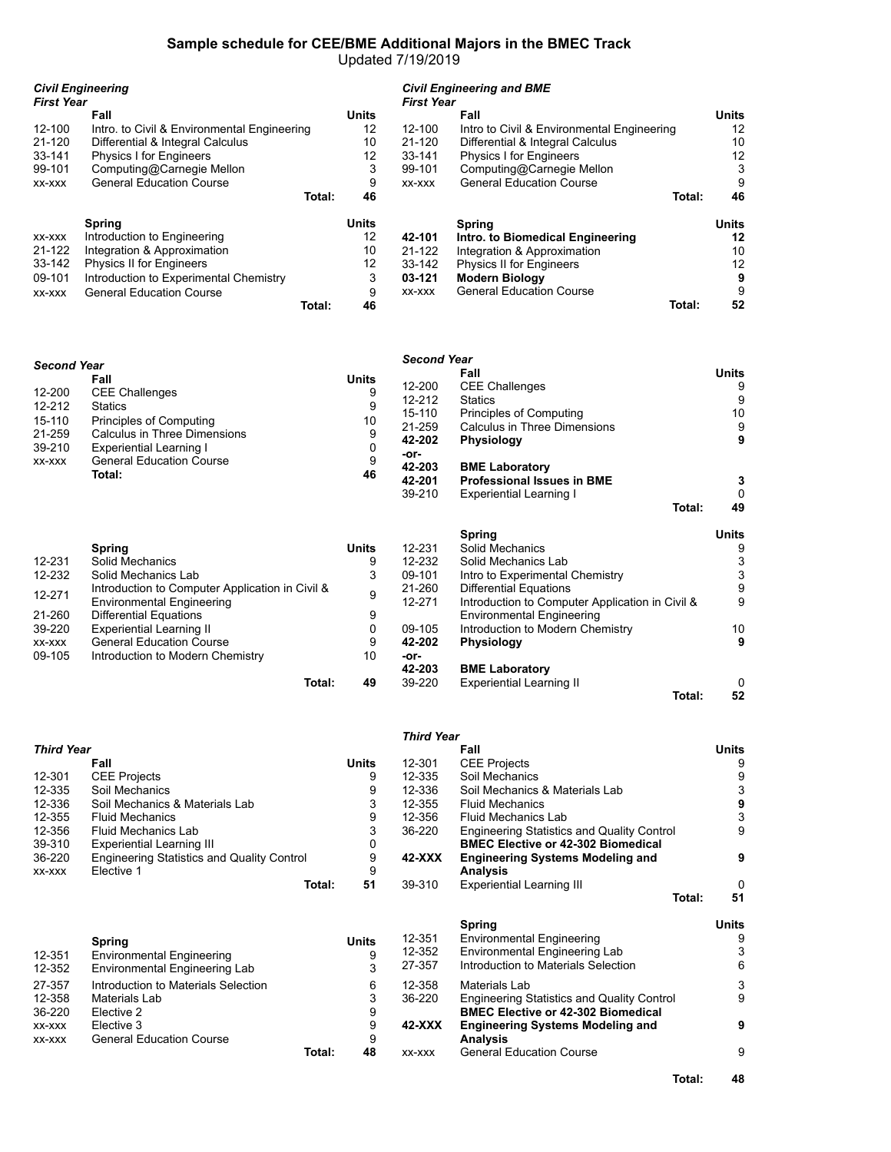# **Sample schedule for CEE/BME Additional Majors in the BMEC Track**

Updated 7/19/2019

| <b>First Year</b> | <b>Civil Engineering</b>                    |              | <b>Civil Engineering and BME</b><br><b>First Year</b> |                                            |        |              |
|-------------------|---------------------------------------------|--------------|-------------------------------------------------------|--------------------------------------------|--------|--------------|
|                   | Fall                                        | <b>Units</b> |                                                       | Fall                                       |        | <b>Units</b> |
| $12 - 100$        | Intro. to Civil & Environmental Engineering | 12           | $12 - 100$                                            | Intro to Civil & Environmental Engineering |        | 12           |
| 21-120            | Differential & Integral Calculus            | 10           | 21-120                                                | Differential & Integral Calculus           |        | 10           |
| 33-141            | <b>Physics I for Engineers</b>              | 12           | 33-141                                                | <b>Physics I for Engineers</b>             |        | 12           |
| 99-101            | Computing@Carnegie Mellon                   | 3            | 99-101                                                | Computing@Carnegie Mellon                  |        | 3            |
| XX-XXX            | <b>General Education Course</b>             | 9            | XX-XXX                                                | <b>General Education Course</b>            |        | 9            |
|                   | Total:                                      | 46           |                                                       |                                            | Total: | 46           |
|                   | <b>Spring</b>                               | <b>Units</b> |                                                       | Spring                                     |        | Units        |
| XX-XXX            | Introduction to Engineering                 | 12           | 42-101                                                | Intro. to Biomedical Engineering           |        | 12           |
| 21-122            | Integration & Approximation                 | 10           | 21-122                                                | Integration & Approximation                |        | 10           |
| 33-142            | <b>Physics II for Engineers</b>             | 12           | 33-142                                                | Physics II for Engineers                   |        | 12           |
| 09-101            | Introduction to Experimental Chemistry      | 3            | 03-121                                                | <b>Modern Biology</b>                      |        | 9            |
| XX-XXX            | <b>General Education Course</b>             | 9            | XX-XXX                                                | <b>General Education Course</b>            |        | 9            |
|                   | Total:                                      | 46           |                                                       | Total:                                     |        | 52           |

| <b>Second Year</b> |                                 |              |                |                                   |        |              |
|--------------------|---------------------------------|--------------|----------------|-----------------------------------|--------|--------------|
|                    | Fall                            | <b>Units</b> |                | Fall                              |        | <b>Units</b> |
|                    |                                 |              | 12-200         | <b>CEE Challenges</b>             |        | 9            |
| 12-200             | <b>CEE Challenges</b>           | 9            | 12-212         | <b>Statics</b>                    |        | 9            |
| 12-212             | <b>Statics</b>                  | 9            | $15 - 110$     | <b>Principles of Computing</b>    |        | 10           |
| 15-110             | <b>Principles of Computing</b>  | 10           | 21-259         | Calculus in Three Dimensions      |        | 9            |
| 21-259             | Calculus in Three Dimensions    | 9            | 42-202         | <b>Physiology</b>                 |        | 9            |
| 39-210             | Experiential Learning I         |              |                |                                   |        |              |
| XX-XXX             | <b>General Education Course</b> | 9            | -or-<br>42-203 |                                   |        |              |
|                    | Total:                          | 46           |                | <b>BME Laboratory</b>             |        |              |
|                    |                                 |              | 42-201         | <b>Professional Issues in BME</b> |        | 3            |
|                    |                                 |              | 39-210         | Experiential Learning I           |        | 0            |
|                    |                                 |              |                |                                   | Total: | 49           |
|                    |                                 |              |                | <b>Spring</b>                     |        | <b>Units</b> |
|                    | Spring                          | Units        | 12-231         | Solid Mechanics                   |        | 9            |

|        | Spring                                          | <b>Units</b> | 12-231 | Solid Mechanics                                 | 9        |
|--------|-------------------------------------------------|--------------|--------|-------------------------------------------------|----------|
| 12-231 | Solid Mechanics                                 | 9            | 12-232 | Solid Mechanics Lab                             | 3        |
| 12-232 | Solid Mechanics Lab                             | 3            | 09-101 | Intro to Experimental Chemistry                 | 3        |
|        | Introduction to Computer Application in Civil & |              | 21-260 | <b>Differential Equations</b>                   | 9        |
| 12-271 | <b>Environmental Engineering</b>                |              | 12-271 | Introduction to Computer Application in Civil & | 9        |
| 21-260 | Differential Equations                          | 9            |        | <b>Environmental Engineering</b>                |          |
| 39-220 | Experiential Learning II                        | 0            | 09-105 | Introduction to Modern Chemistry                | 10       |
| XX-XXX | <b>General Education Course</b>                 | 9            | 42-202 | <b>Physiology</b>                               | 9        |
| 09-105 | Introduction to Modern Chemistry                | 10           | -or-   |                                                 |          |
|        |                                                 |              | 42-203 | <b>BME Laboratory</b>                           |          |
|        | Total:                                          | 49           | 39-220 | Experiential Learning II                        | $\Omega$ |
|        |                                                 |              |        | Total:                                          | 52       |

|                   |                                                   |              | <b>Third Year</b> |                                                   |              |
|-------------------|---------------------------------------------------|--------------|-------------------|---------------------------------------------------|--------------|
| <b>Third Year</b> |                                                   |              |                   | Fall                                              | <b>Units</b> |
|                   | Fall                                              | <b>Units</b> | 12-301            | <b>CEE Projects</b>                               | 9            |
| 12-301            | <b>CEE Projects</b>                               | 9            | 12-335            | Soil Mechanics                                    | 9            |
| 12-335            | Soil Mechanics                                    | 9            | 12-336            | Soil Mechanics & Materials Lab                    | 3            |
| 12-336            | Soil Mechanics & Materials Lab                    | 3            | 12-355            | <b>Fluid Mechanics</b>                            | 9            |
| 12-355            | <b>Fluid Mechanics</b>                            | 9            | 12-356            | <b>Fluid Mechanics Lab</b>                        | 3            |
| 12-356            | <b>Fluid Mechanics Lab</b>                        | 3            | 36-220            | <b>Engineering Statistics and Quality Control</b> | 9            |
| 39-310            | <b>Experiential Learning III</b>                  | 0            |                   | <b>BMEC Elective or 42-302 Biomedical</b>         |              |
| 36-220            | <b>Engineering Statistics and Quality Control</b> | 9            | $42-XXX$          | <b>Engineering Systems Modeling and</b>           | 9            |
| XX-XXX            | Elective 1                                        | 9            |                   | <b>Analysis</b>                                   |              |
|                   | Total:                                            | 51           | 39-310            | <b>Experiential Learning III</b>                  | $\Omega$     |
|                   |                                                   |              |                   | Total:                                            | 51           |

|        |                                     |        |              |          | <b>Spring</b>                                     | <b>Units</b> |
|--------|-------------------------------------|--------|--------------|----------|---------------------------------------------------|--------------|
|        | Spring                              |        | <b>Units</b> | 12-351   | <b>Environmental Engineering</b>                  | 9            |
| 12-351 | <b>Environmental Engineering</b>    |        | 9            | 12-352   | Environmental Engineering Lab                     | 3            |
| 12-352 | Environmental Engineering Lab       |        |              | 27-357   | Introduction to Materials Selection               | 6            |
| 27-357 | Introduction to Materials Selection |        | 6            | 12-358   | Materials Lab                                     | 3            |
| 12-358 | Materials Lab                       |        | 3            | 36-220   | <b>Engineering Statistics and Quality Control</b> | 9            |
| 36-220 | Elective 2                          |        | 9            |          | <b>BMEC Elective or 42-302 Biomedical</b>         |              |
| XX-XXX | Elective 3                          |        | 9            | $42-XXX$ | <b>Engineering Systems Modeling and</b>           | 9            |
| XX-XXX | <b>General Education Course</b>     |        | 9            |          | <b>Analysis</b>                                   |              |
|        |                                     | Total: | 48           | XX-XXX   | <b>General Education Course</b>                   | 9            |